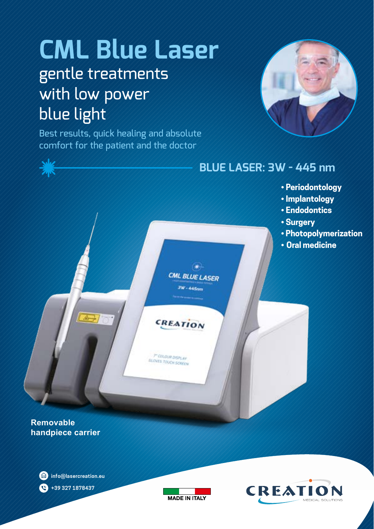# **CML Blue Laser** gentle treatments with low power blue light

Best results, quick healing and absolute comfort for the patient and the doctor



### **BLUE LASER: 3W - 445 nm**

- **• Periodontology**
- **• Implantology**
- **• Endodontics**
- **• Surgery**
- **• Photopolymerization**
- **Oral medicine**

**Removable handpiece carrier**

纂





 $\mathbf{H}$ CML BLUE LASER **3W-445nm** 

CREATION

7" COLOUR DISPLAY **GLOVES TOUCH SCREEN**